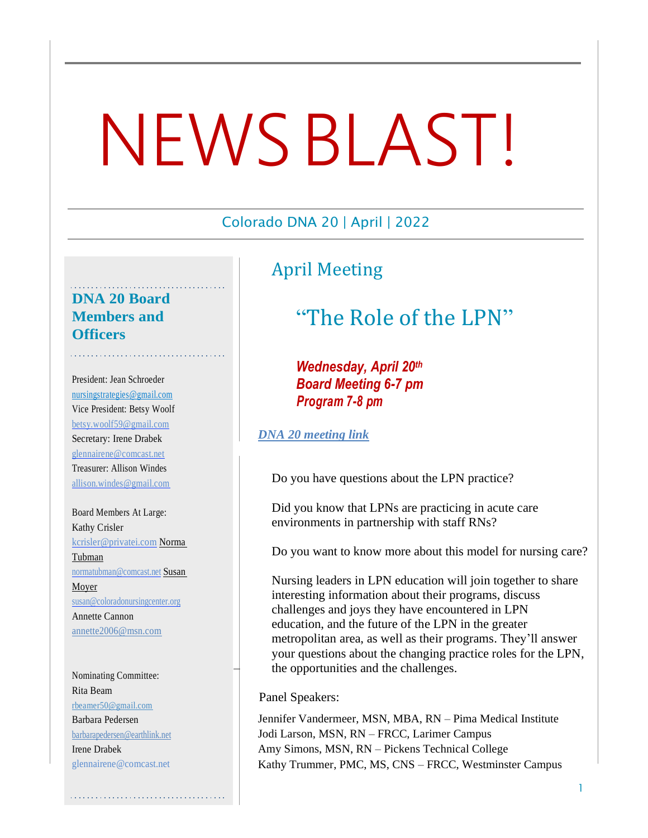# NEWSBLAST!

#### Colorado DNA 20 | April | 2022

# April Meeting

## **DNA 20 Board Members and Officers**

President: Jean Schroeder [nursingstr](mailto:nursingstrategies@gmail.com)[ategies@gmail.com](mailto:ategies@gmail.com) Vice President: Betsy Woolf [betsy.](mailto:betsy.woolf59@gmail.com)[woolf59@gmail.com](mailto:.woolf59@gmail.com) Secretary: Irene Drabek [glennair](mailto:glennairene@comcast.net)[ene@comcast.net](mailto:ene@comcast.net) Treasurer: Allison Windes [allison.windes@gmail.com](mailto:allison.windes@gmail.com)

Board Members At Large: Kathy Crisler [kcrisler@privatei.com](mailto:kcrisler@privatei.com) Norma Tubman [normatubman@comcast.net](mailto:normatubman@comcast.net) Susan Moyer [susan@coloradonursingcenter.org](mailto:susan@coloradonursingcenter.org) Annette Cannon [annette2006@msn.com](mailto:annette2006@msn.com)

Nominating Committee: Rita Beam rbeamer50@gmail.com Barbara Pedersen [barbarapedersen@earthlink.net](http://barbarapedersen@earthlink.net/) Irene Drabek [glennairene@comcast.net](mailto:glennairene@comcast.net)

# "The Role of the LPN"

*Wednesday, April 20th Board Meeting 6-7 pm Program 7-8 pm*

#### *[DNA 20 meeting link](https://pmi-edu.zoom.us/j/92792900007)*

Do you have questions about the LPN practice?

Did you know that LPNs are practicing in acute care environments in partnership with staff RNs?

Do you want to know more about this model for nursing care?

Nursing leaders in LPN education will join together to share interesting information about their programs, discuss challenges and joys they have encountered in LPN education, and the future of the LPN in the greater metropolitan area, as well as their programs. They'll answer your questions about the changing practice roles for the LPN, the opportunities and the challenges.

#### Panel Speakers:

Jennifer Vandermeer, MSN, MBA, RN – Pima Medical Institute Jodi Larson, MSN, RN – FRCC, Larimer Campus Amy Simons, MSN, RN – Pickens Technical College Kathy Trummer, PMC, MS, CNS – FRCC, Westminster Campus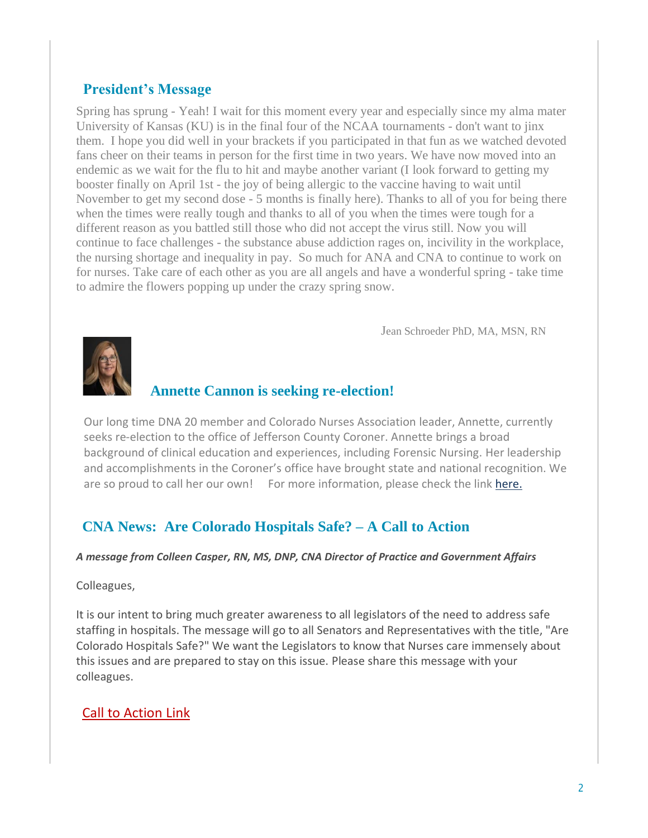# **President's Message**

Spring has sprung - Yeah! I wait for this moment every year and especially since my alma mater University of Kansas (KU) is in the final four of the NCAA tournaments - don't want to jinx them. I hope you did well in your brackets if you participated in that fun as we watched devoted fans cheer on their teams in person for the first time in two years. We have now moved into an endemic as we wait for the flu to hit and maybe another variant (I look forward to getting my booster finally on April 1st - the joy of being allergic to the vaccine having to wait until November to get my second dose - 5 months is finally here). Thanks to all of you for being there when the times were really tough and thanks to all of you when the times were tough for a different reason as you battled still those who did not accept the virus still. Now you will continue to face challenges - the substance abuse addiction rages on, incivility in the workplace, the nursing shortage and inequality in pay. So much for ANA and CNA to continue to work on for nurses. Take care of each other as you are all angels and have a wonderful spring - take time to admire the flowers popping up under the crazy spring snow.

Jean Schroeder PhD, MA, MSN, RN



# **Annette Cannon is seeking re-election!**

Our long time DNA 20 member and Colorado Nurses Association leader, Annette, currently seeks re-election to the office of Jefferson County Coroner. Annette brings a broad background of clinical education and experiences, including Forensic Nursing. Her leadership and accomplishments in the Coroner's office have brought state and national recognition. We are so proud to call her our own! For more information, please check the link [here.](http://www.cannonforjeffcocoroner.com/about)

## **CNA News: Are Colorado Hospitals Safe? – A Call to Action**

#### *A message from Colleen Casper, RN, MS, DNP, CNA Director of Practice and Government Affairs*

#### Colleagues,

It is our intent to bring much greater awareness to all legislators of the need to address safe staffing in hospitals. The message will go to all Senators and Representatives with the title, "Are Colorado Hospitals Safe?" We want the Legislators to know that Nurses care immensely about this issues and are prepared to stay on this issue. Please share this message with your colleagues.

#### [Call to Action](https://capitolcontact.com/portal/#/view/912) Link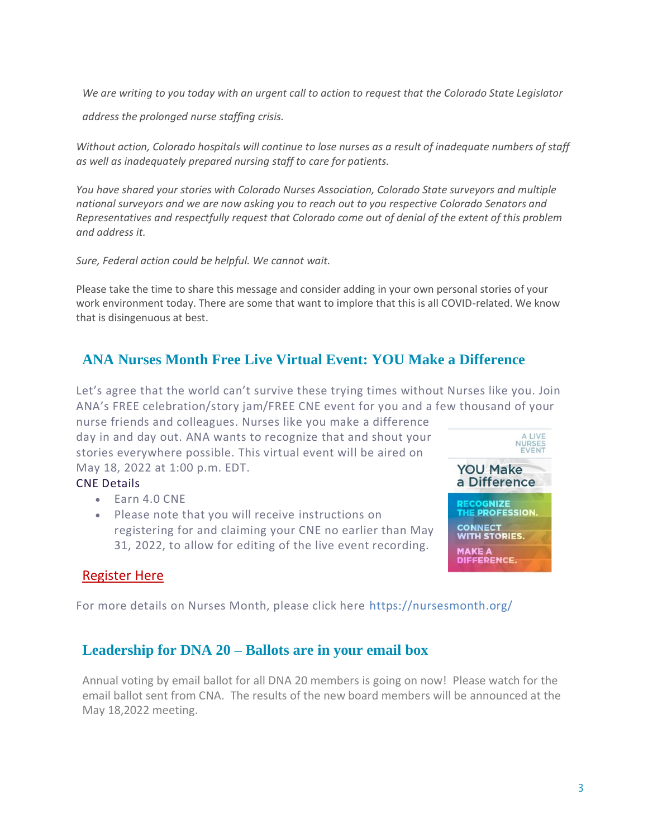We are writing to you today with an urgent call to action to request that the Colorado State Legislator

*address the prolonged nurse staffing crisis.*

Without action, Colorado hospitals will continue to lose nurses as a result of inadequate numbers of staff *as well as inadequately prepared nursing staff to care for patients.*

*You have shared your stories with Colorado Nurses Association, Colorado State surveyors and multiple national surveyors and we are now asking you to reach out to you respective Colorado Senators and Representatives and respectfully request that Colorado come out of denial of the extent of this problem and address it.*

*Sure, Federal action could be helpful. We cannot wait.*

Please take the time to share this message and consider adding in your own personal stories of your work environment today. There are some that want to implore that this is all COVID-related. We know that is disingenuous at best.

# **ANA Nurses Month Free Live Virtual Event: YOU Make a Difference**

Let's agree that the world can't survive these trying times without Nurses like you. Join ANA's FREE celebration/story jam/FREE CNE event for you and a few thousand of your

nurse friends and colleagues. Nurses like you make a difference day in and day out. ANA wants to recognize that and shout your stories everywhere possible. This virtual event will be aired on May 18, 2022 at 1:00 p.m. EDT.

#### CNE Details

- Earn 4.0 CNE
- Please note that you will receive instructions on registering for and claiming your CNE no earlier than May 31, 2022, to allow for editing of the live event recording.



#### [Register Here](https://www.eventbrite.com/e/you-make-a-difference-free-nurses-event-registration-267026131347?utm_campaign=385750_2022%20Nurses%20Month%20and%20CND&utm_source=NM%20Website&utm_medium=Eventbrite%20Registration&utm_content=385750_Nurses%20Month%20website)

For more details on Nurses Month, please click here <https://nursesmonth.org/>

#### **Leadership for DNA 20 – Ballots are in your email box**

Annual voting by email ballot for all DNA 20 members is going on now! Please watch for the email ballot sent from CNA. The results of the new board members will be announced at the May 18,2022 meeting.